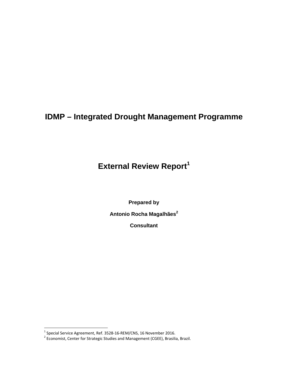# **IDMP – Integrated Drought Management Programme**

**External Review Report<sup>1</sup>**

**Prepared by** 

**Antonio Rocha Magalhães<sup>2</sup>**

**Consultant** 

<sup>&</sup>lt;sup>1</sup> Special Service Agreement, Ref. 3528-16-REM/CNS, 16 November 2016.<br><sup>2</sup> Economist, Center for Strategic Studies and Management (CGEE), Brasilia, Brazil.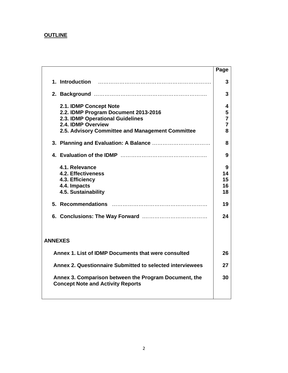## **OUTLINE**

|                                                                                                                                                                              | Page                                  |
|------------------------------------------------------------------------------------------------------------------------------------------------------------------------------|---------------------------------------|
| 1. Introduction                                                                                                                                                              | 3                                     |
|                                                                                                                                                                              | 3                                     |
| 2.1. IDMP Concept Note<br>2.2. IDMP Program Document 2013-2016<br>2.3. IDMP Operational Guidelines<br>2.4. IDMP Overview<br>2.5. Advisory Committee and Management Committee | 4<br>5<br>$\overline{7}$<br>7<br>8    |
|                                                                                                                                                                              | 8                                     |
|                                                                                                                                                                              | 9                                     |
| 4.1. Relevance<br><b>4.2. Effectiveness</b><br>4.3. Efficiency<br>4.4. Impacts<br>4.5. Sustainability<br>5. Recommendations                                                  | 9<br>14<br>15<br>16<br>18<br>19<br>24 |
| <b>ANNEXES</b>                                                                                                                                                               |                                       |
| Annex 1. List of IDMP Documents that were consulted                                                                                                                          | 26                                    |
| Annex 2. Questionnaire Submitted to selected interviewees                                                                                                                    | 27                                    |
| Annex 3. Comparison between the Program Document, the<br><b>Concept Note and Activity Reports</b>                                                                            | 30                                    |
|                                                                                                                                                                              |                                       |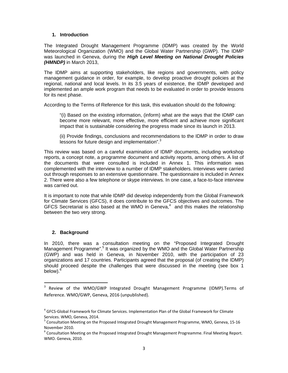#### **1. Introduction**

The Integrated Drought Management Programme (IDMP) was created by the World Meteorological Organization (WMO) and the Global Water Partnership (GWP). The IDMP was launched in Geneva, during the *High Level Meeting on National Drought Policies (HMNDP)* in March 2013,

The IDMP aims at supporting stakeholders, like regions and governments, with policy management guidance in order, for example, to develop proactive drought policies at the regional, national and local levels. In its 3.5 years of existence, the IDMP developed and implemented an ample work program that needs to be evaluated in order to provide lessons for its next phase.

According to the Terms of Reference for this task, this evaluation should do the following:

"(i) Based on the existing information, (inform) what are the ways that the IDMP can become more relevant, more effective, more efficient and achieve more significant impact that is sustainable considering the progress made since its launch in 2013.

(ii) Provide findings, conclusions and recommendations to the IDMP in order to draw lessons for future design and implementation".<sup>3</sup>

This review was based on a careful examination of IDMP documents, including workshop reports, a concept note, a programme document and activity reports, among others. A list of the documents that were consulted is included in Annex 1. This information was complemented with the interview to a number of IDMP stakeholders. Interviews were carried out through responses to an extensive questionnaire. The questionnaire is included in Annex 2. There were also a few telephone or skype interviews. In one case, a face-to-face interview was carried out.

It is important to note that while IDMP did develop independently from the Global Framework for Climate Services (GFCS), it does contribute to the GFCS objectives and outcomes. The GFCS Secretariat is also based at the WMO in Geneva, $4$  and this makes the relationship between the two very strong.

#### **2. Background**

In 2010, there was a consultation meeting on the "Proposed Integrated Drought Management Programme".<sup>5</sup> It was organized by the WMO and the Global Water Partnership (GWP) and was held in Geneva, in November 2010, with the participation of 23 organizations and 17 countries. Participants agreed that the proposal (of creating the IDMP) should proceed despite the challenges that were discussed in the meeting (see box 1 below). $^6$ 

<sup>&</sup>lt;sup>3</sup> Review of the WMO/GWP Integrated Drought Management Programme (IDMP).Terms of Reference. WMO/GWP, Geneva, 2016 (unpublished).

<sup>4</sup> GFCS‐Global Framework for Climate Services. Implementation Plan of the Global Framework for Climate Services. WMO, Geneva, 2014.<br><sup>5</sup> Consultation Meeting on the Proposed Integrated Drought Management Programme, WMO, Geneva, 15‐16

November 2010.<br><sup>6</sup> Consultation Meeting on the Proposed Integrated Drought Management Progreamme. Final Meeting Report.

WMO. Geneva, 2010.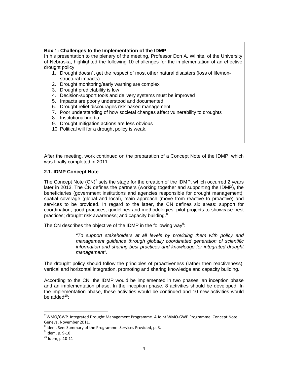#### **Box 1: Challenges to the Implementation of the IDMP**

In his presentation to the plenary of the meeting, Professor Don A. Wilhite, of the University of Nebraska, highlighted the following 10 challenges for the implementation of an effective drought policy:

- 1. Drought doesn´t get the respect of most other natural disasters (loss of life/nonstructural impacts)
- 2. Drought monitoring/early warning are complex
- 3. Drought predictability is low
- 4. Decision-support tools and delivery systems must be improved
- 5. Impacts are poorly understood and documented
- 6. Drought relief discourages risk-based management
- 7. Poor understanding of how societal changes affect vulnerability to droughts
- 8. Institutional inertia
- 9. Drought mitigation actions are less obvious
- 10. Political will for a drought policy is weak.

After the meeting, work continued on the preparation of a Concept Note of the IDMP, which was finally completed in 2011.

#### **2.1. IDMP Concept Note**

The Concept Note  $(CN)^7$  sets the stage for the creation of the IDMP, which occurred 2 years later in 2013. The CN defines the partners (working together and supporting the IDMP), the beneficiaries (government institutions and agencies responsible for drought management), spatial coverage (global and local), main approach (move from reactive to proactive) and services to be provided. In regard to the latter, the CN defines six areas: support for coordination; good practices; guidelines and methodologies; pilot projects to showcase best practices; drought risk awareness; and capacity building.<sup>8</sup>

The CN describes the objective of the IDMP in the following way<sup>9</sup>:

*"To support stakeholders at all levels by providing them with policy and management guidance through globally coordinated generation of scientific information and sharing best practices and knowledge for integrated drought management".* 

The drought policy should follow the principles of proactiveness (rather then reactiveness), vertical and horizontal integration, promoting and sharing knowledge and capacity building.

According to the CN, the IDMP would be implemented in two phases: an inception phase and an implementation phase. In the inception phase, 8 activities should be developed. In the implementation phase, these activities would be continued and 10 new activities would be added $10$ :

 $7$  WMO/GWP. Integrated Drought Management Programme. A Joint WMO-GWP Programme. Concept Note.

Geneva, November 2011.<br><sup>8</sup> Idem. See: Summary of the Programme. Services Provided, p. 3.<br><sup>9</sup> Idem, p. 9-10<br><sup>10</sup> Idem, p.10-11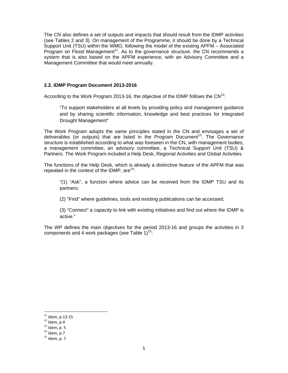The CN also defines a set of outputs and impacts that should result from the IDMP activities (see Tables 2 and 3). On management of the Programme, it should be done by a Technical Support Unit (TSU) within the WMO, following the model of the existing APFM – Associated Program on Flood Management<sup>11</sup>. As to the governance structure, the CN recommends a system that is also based on the APFM experience, with an Advisory Committee and a Management Committee that would meet annually.

#### **2.2. IDMP Program Document 2013-2016**

According to the Work Program 2013-16, the objective of the IDMP follows the  $CN^{12}$ :

"To support stakeholders at all levels by providing policy and management guidance and by sharing scientific information, knowledge and best practices for Integrated Drought Management"

The Work Program adopts the same principles stated in the CN and envisages a set of deliverables (or outputs) that are listed in the Program Document<sup>13</sup>. The Governance structure is established according to what was foreseen in the CN, with management bodies, a management committee, an advisory committee, a Technical Support Unit (TSU) & Partners. The Work Program included a Help Desk, Regional Activities and Global Activities.

The functions of the Help Desk, which is already a distinctive feature of the APFM that was repeated in the context of the IDMP, are  $14$ :

"(1) "Ask", a function where advice can be received from the IDMP TSU and its partners;

(2) "Find" where guidelines, tools and existing publications can be accessed;

(3) "Connect" a capacity to link with existing initiatives and find out where the IDMP is active."

The WP defines the main objectives for the period 2013-16 and groups the activities in 3 components and 4 work packages (see Table  $1$ )<sup>15</sup>:

<sup>&</sup>lt;sup>11</sup> Idem, p.13-15<br><sup>12</sup> Idem, p.4<br><sup>13</sup> Idem, p. 5<br><sup>14</sup> Idem, p.7<br><sup>15</sup> Idem, p. 7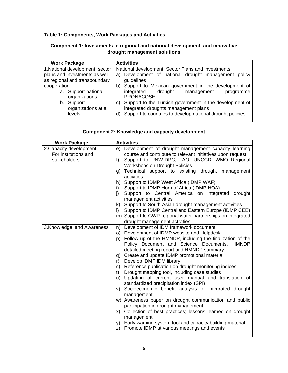## **Table 1: Components, Work Packages and Activities**

## **Component 1: Investments in regional and national development, and innovative drought management solutions**

| <b>Work Package</b>                                            | <b>Activities</b>                                                                                                                                                        |  |  |
|----------------------------------------------------------------|--------------------------------------------------------------------------------------------------------------------------------------------------------------------------|--|--|
| 1. National development, sector                                | National development, Sector Plans and investments:                                                                                                                      |  |  |
| plans and investments as well<br>as regional and transboundary | a) Development of national drought management<br>policy<br>guidelines                                                                                                    |  |  |
| cooperation                                                    | Support to Mexican government in the development of<br>b)                                                                                                                |  |  |
| a. Support national<br>organizations                           | integrated<br>drought<br>management<br>programme<br>PRONACOSE                                                                                                            |  |  |
| b. Support<br>organizations at all<br>levels                   | Support to the Turkish government in the development of<br>C)<br>integrated droughts management plans<br>Support to countries to develop national drought policies<br>d) |  |  |

## **Component 2: Knowledge and capacity development**

| <b>Work Package</b>        | <b>Activities</b>                                                                                            |
|----------------------------|--------------------------------------------------------------------------------------------------------------|
| 2. Capacity development    | e) Development of drought management capacity learning                                                       |
| For institutions and       | course and contribute to relevant initiatives upon request                                                   |
| stakeholders               | Support to UNW-DPC, FAO, UNCCD, WMO Regional<br>f)                                                           |
|                            | <b>Workshops on Drought Policies</b>                                                                         |
|                            | Technical support to existing drought management<br>g)                                                       |
|                            | activities                                                                                                   |
|                            | Support to IDMP West Africa (IDMP WAF)<br>h)                                                                 |
|                            | Support to IDMP Horn of Africa (IDMP HOA)<br>i)                                                              |
|                            | Support to Central America on integrated<br>drought<br>j)<br>management activities                           |
|                            | k) Support to South Asian drought management activities                                                      |
|                            | Support to IDMP Central and Eastern Europe (IDMP CEE)<br>$\vert$ )                                           |
|                            | m) Support to GWP regional water partnerships on integrated                                                  |
|                            | drought management activities                                                                                |
| 3. Knowledge and Awareness | Development of IDM framework document<br>n)                                                                  |
|                            | Development of IDMP website and Helpdesk<br>O)                                                               |
|                            | p) Follow up of the HMNDP, including the finalization of the                                                 |
|                            | Policy Document and Science Documents, HMNDP                                                                 |
|                            | detailed meeting report and HMNDP summary                                                                    |
|                            | q) Create and update IDMP promotional material                                                               |
|                            | Develop IDMP IDM library<br>r)                                                                               |
|                            | s) Reference publication on drought monitoring indices<br>Drought mapping tool, including case studies<br>t) |
|                            | u) Updating of current user manual and translation of                                                        |
|                            | standardized precipitation index (SPI)                                                                       |
|                            | v) Socioeconomic benefit analysis of integrated drought                                                      |
|                            | management                                                                                                   |
|                            | w) Awareness paper on drought communication and public                                                       |
|                            | participation in drought management                                                                          |
|                            | Collection of best practices; lessons learned on drought<br>X)                                               |
|                            | management                                                                                                   |
|                            | Early warning system tool and capacity building material<br>y)                                               |
|                            | Promote IDMP at various meetings and events<br>z)                                                            |
|                            |                                                                                                              |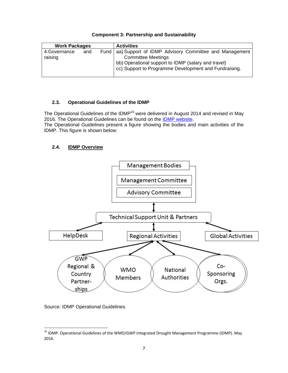| <u> JUNGHUL JI KI GIUDI JIIIN KIIM JAULAILINNIIILY</u> |     |  |                                                              |
|--------------------------------------------------------|-----|--|--------------------------------------------------------------|
| <b>Work Packages</b>                                   |     |  | <b>Activities</b>                                            |
| 4.Governance                                           | and |  | Fund   aa) Support of IDMP Advisory Committee and Management |
| raising                                                |     |  | <b>Committee Meetings</b>                                    |

bb) Operational support to IDMP (salary and travel)

cc) Support to Programme Development and Fundraising.

## **Component 3: Partnership and Sustainability**

#### **2.3. Operational Guidelines of the IDMP**

The Operational Guidelines of the IDMP<sup>16</sup> were delivered in August 2014 and revised in May 2016. The Operational Guidelines can be found on the IDMP website. The Operational Guidelines present a figure showing the bodies and main activities of the IDMP. This figure is shown below:

## **2.4. IDMP Overview**



Source: IDMP Operational Guidelines

<sup>&</sup>lt;sup>16</sup> IDMP. Operational Guidelines of the WMO/GWP Integrated Drought Management Programme (IDMP). May 2016.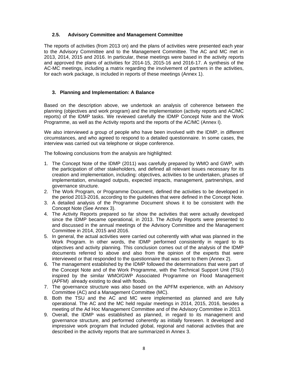#### **2.5. Advisory Committee and Management Committee**

The reports of activities (from 2013 on) and the plans of activities were presented each year to the Advisory Committee and to the Management Committee. The AC and MC met in 2013, 2014, 2015 and 2016. In particular, these meetings were based in the activity reports and approved the plans of activities for 2014-15, 2015-16 and 2016-17. A synthesis of the AC-MC meetings, including a matrix regarding the involvement of partners in the activities, for each work package, is included in reports of these meetings (Annex 1).

#### **3. Planning and Implementation: A Balance**

Based on the description above, we undertook an analysis of coherence between the planning (objectives and work program) and the implementation (activity reports and AC/MC reports) of the IDMP tasks. We reviewed carefully the IDMP Concept Note and the Work Programme, as well as the Activity reports and the reports of the AC/MC (Annex I).

We also interviewed a group of people who have been involved with the IDMP, in different circumstances, and who agreed to respond to a detailed questionnaire. In some cases, the interview was carried out via telephone or skype conference.

The following conclusions from the analysis are highlighted:

- 1. The Concept Note of the IDMP (2011) was carefully prepared by WMO and GWP, with the participation of other stakeholders, and defined all relevant issues necessary for its creation and implementation, including: objectives, activities to be undertaken, phases of implementation, envisaged outputs, expected impacts, management, partnerships, and governance structure.
- 2. The Work Program, or Programme Document, defined the activities to be developed in the period 2013-2016, according to the guidelines that were defined in the Concept Note.
- 3. A detailed analysis of the Programme Document shows it to be consistent with the Concept Note (See Annex 3).
- 4. The Activity Reports prepared so far show the activities that were actually developed since the IDMP became operational, in 2013. The Activity Reports were presented to and discussed in the annual meetings of the Advisory Committee and the Management Committee in 2014, 2015 and 2016.
- 5. In general, the actual activities were carried out coherently with what was planned in the Work Program. In other words, the IDMP performed consistently in regard to its objectives and activity planning. This conclusion comes out of the analysis of the IDMP documents referred to above and also from the opinion of the experts that were interviewed or that responded to the questionnaire that was sent to them (Annex 2).
- 6. The management established by the IDMP followed the determinations that were part of the Concept Note and of the Work Programme, with the Technical Support Unit (TSU) inspired by the similar WMO/GWP Associated Programme on Flood Management (APFM) already existing to deal with floods.
- 7. The governance structure was also based on the APFM experience, with an Advisory Committee (AC) and a Management Committee (MC).
- 8. Both the TSU and the AC and MC were implemented as planned and are fully operational. The AC and the MC held regular meetings in 2014, 2015, 2016, besides a meeting of the Ad Hoc Management Committee and of the Advisory Committee in 2013.
- 9. Overall, the IDMP was established as planned, in regard to its management and governance structure, and performed coherently as initially foreseen. It developed and impressive work program that included global, regional and national activities that are described in the activity reports that are summarized in Annex 3.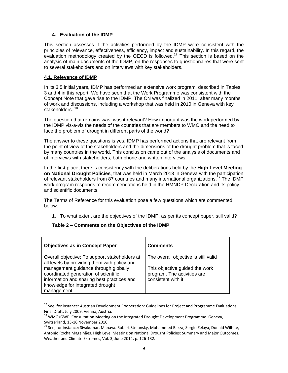#### **4. Evaluation of the IDMP**

This section assesses if the activities performed by the IDMP were consistent with the principles of relevance, effectiveness, efficiency, impact and sustainability. In this regard, the evaluation methodology created by the OECD is followed.<sup>17</sup> This section is based on the analysis of main documents of the IDMP, on the responses to questionnaires that were sent to several stakeholders and on interviews with key stakeholders.

#### **4.1. Relevance of IDMP**

In its 3.5 initial years, IDMP has performed an extensive work program, described in Tables 3 and 4 in this report. We have seen that the Work Programme was consistent with the Concept Note that gave rise to the IDMP. The CN was finalized in 2011, after many months of work and discussions, including a workshop that was held in 2010 in Geneva with key stakeholders.<sup>18</sup>

The question that remains was: was it relevant? How important was the work performed by the IDMP vis-a-vis the needs of the countries that are members to WMO and the need to face the problem of drought in different parts of the world?

The answer to these questions is yes, IDMP has performed actions that are relevant from the point of view of the stakeholders and the dimensions of the drought problem that is faced by many countries in the world. This conclusion came out of the analysis of documents and of interviews with stakeholders, both phone and written interviews.

In the first place, there is consistency with the deliberations held by the **High Level Meeting on National Drought Policies**, that was held in March 2013 in Geneva with the participation of relevant stakeholders from 87 countries and many international organizations.<sup>19</sup> The IDMP work program responds to recommendations held in the HMNDP Declaration and its policy and scientific documents.

The Terms of Reference for this evaluation pose a few questions which are commented below.

1. To what extent are the objectives of the IDMP, as per its concept paper, still valid?

#### **Table 2 – Comments on the Objectives of the IDMP**

| <b>Objectives as in Concept Paper</b>                                                                                                                                        | <b>Comments</b>                                                                      |
|------------------------------------------------------------------------------------------------------------------------------------------------------------------------------|--------------------------------------------------------------------------------------|
| Overall objective: To support stakeholders at<br>all levels by providing them with policy and                                                                                | The overall objective is still valid                                                 |
| management guidance through globally<br>coordinated generation of scientific<br>information and sharing best practices and<br>knowledge for integrated drought<br>management | This objective guided the work<br>program. The activities are<br>consistent with it. |

<sup>&</sup>lt;sup>17</sup> See, for instance: Austrian Development Cooperation: Guidelines for Project and Programme Evaluations. Final Draft, July 2009. Vienna, Austria.<br><sup>18</sup> WMO/GWP. Consultation Meeting on the Integrated Drought Development Programme. Geneva,

Switzerland, 15-16 November 2010.<br><sup>19</sup> See, for instance: Sivakumar, Manava. Robert Stefansky, Mohammed Bazza, Sergio Zelaya, Donald Wilhite, Antonio Rocha Magalhães. High Level Meeting on National Drought Policies: Summary and Major Outcomes. Weather and Climate Extremes, Vol. 3, June 2014, p. 126‐132.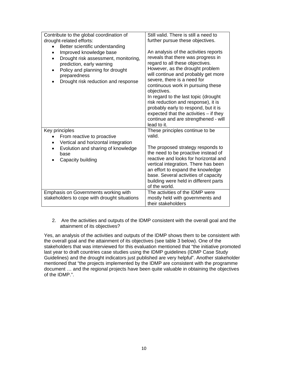| Contribute to the global coordination of<br>drought-related efforts:<br>Better scientific understanding<br>$\bullet$<br>Improved knowledge base<br>Drought risk assessment, monitoring,<br>$\bullet$<br>prediction, early warning<br>Policy and planning for drought<br>$\bullet$<br>preparedness<br>Drought risk reduction and response | Still valid. There is still a need to<br>further pursue these objectives.<br>An analysis of the activities reports<br>reveals that there was progress in<br>regard to all these objectives.<br>However, as the drought problem<br>will continue and probably get more<br>severe, there is a need for<br>continuous work in pursuing these<br>objectives.<br>In regard to the last topic (drought<br>risk reduction and response), it is<br>probably early to respond, but it is<br>expected that the activities - if they<br>continue and are strengthened - will<br>lead to it. |
|------------------------------------------------------------------------------------------------------------------------------------------------------------------------------------------------------------------------------------------------------------------------------------------------------------------------------------------|----------------------------------------------------------------------------------------------------------------------------------------------------------------------------------------------------------------------------------------------------------------------------------------------------------------------------------------------------------------------------------------------------------------------------------------------------------------------------------------------------------------------------------------------------------------------------------|
| Key principles<br>From reactive to proactive<br>Vertical and horizontal integration<br>Evolution and sharing of knowledge<br>base<br>Capacity building                                                                                                                                                                                   | These principles continue to be<br>valid.<br>The proposed strategy responds to<br>the need to be proactive instead of<br>reactive and looks for horizontal and<br>vertical integration. There has been<br>an effort to expand the knowledge<br>base. Several activities of capacity<br>building were held in different parts<br>of the world.                                                                                                                                                                                                                                    |
| Emphasis on Governments working with<br>stakeholders to cope with drought situations                                                                                                                                                                                                                                                     | The activities of the IDMP were<br>mostly held with governments and<br>their stakeholders                                                                                                                                                                                                                                                                                                                                                                                                                                                                                        |

2. Are the activities and outputs of the IDMP consistent with the overall goal and the attainment of its objectives?

Yes, an analysis of the activities and outputs of the IDMP shows them to be consistent with the overall goal and the attainment of its objectives (see table 3 below). One of the stakeholders that was interviewed for this evaluation mentioned that "the initiative promoted last year to draft countries case studies using the IDMP guidelines (IDMP Case Study Guidelines) and the drought indicators just published are very helpful". Another stakeholder mentioned that "the projects implemented by the IDMP are consistent with the programme document … and the regional projects have been quite valuable in obtaining the objectives of the IDMP.".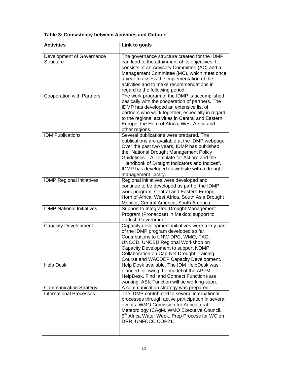| <b>Activities</b>                                               | Link to goals                                                                                                                                                                                                                                                                                                                                                |
|-----------------------------------------------------------------|--------------------------------------------------------------------------------------------------------------------------------------------------------------------------------------------------------------------------------------------------------------------------------------------------------------------------------------------------------------|
| Development of Governance<br><b>Structure</b>                   | The governance structure created for the IDMP<br>can lead to the attainment of its objectives. It<br>consists of an Advisory Committee (AC) and a<br>Management Committee (MC), which meet once<br>a year to assess the implementation of the<br>activities and to make recommendations in<br>regard to the following period.                                |
| <b>Cooperation with Partners</b>                                | The work program of the IDMP is accomplished<br>basically with the cooperation of partners. The<br>IDMP has developed an extensive list of<br>partners who work together, especially in regard<br>to the regional activities in Central and Eastern<br>Europe, the Horn of Africa, West Africa and<br>other regions.                                         |
| <b>IDM Publications</b>                                         | Several publications were prepared. The<br>publications are available at the IDMP webpage.<br>Over the past two years, IDMP has published<br>the "National Drought Management Policy<br>Guidelines - A Template for Action" and the<br>"Handbook of Drought Indicators and Indices".<br>IDMP has developed its website with a drought<br>management library. |
| <b>IDMP Regional Initiatives</b>                                | Regional initiatives were developed and<br>continue to be developed as part of the IDMP<br>work program: Central and Eastern Europe,<br>Horn of Africa, West Africa, South Asia Drought<br>Monitor, Central America, South America.                                                                                                                          |
| <b>IDMP National Initiatives</b>                                | Support to Integrated Drought Management<br>Program (Pronacose) in Mexico; support to<br>Turkish Government.                                                                                                                                                                                                                                                 |
| <b>Capacity Development</b>                                     | Capacity development initiatives were a key part<br>of the IDMP program developed so far.<br>Contributions to UNW-DPC, WMO, FAO,<br>UNCCD, UNCBD Regional Workshop on<br>Capacity Development to support NDMP.<br>Collaboration on Cap-Net Drought Training<br>Course and WACDEP Capacity Development.                                                       |
| <b>Help Desk</b>                                                | Help Desk available. The IDM HelpDesk was<br>planned following the model of the APFM<br>HelpDesk. Find and Connect Functions are<br>working. ASK Function will be working soon.                                                                                                                                                                              |
| <b>Communication Strategy</b><br><b>International Processes</b> | A communication strategy was prepared.<br>The IDMP contributed to several international<br>processes through active participation in several<br>events. WMO Comission for Agricultural<br>Meteorology (CAgM. WMO Executive Council.<br>5 <sup>th</sup> Africa Water Week. Prep Process for WC on<br>DRR, UNFCCC COP21.                                       |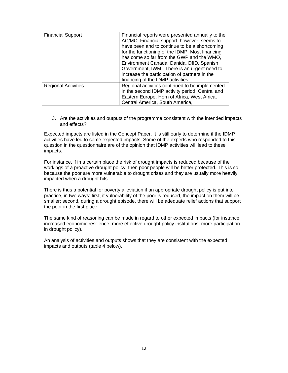| <b>Financial Support</b>   | Financial reports were presented annually to the<br>AC/MC. Financial support, however, seems to<br>have been and to continue to be a shortcoming<br>for the functioning of the IDMP. Most financing<br>has come so far from the GWP and the WMO,<br>Environment Canada, Danida, DfID, Spanish<br>Government, IWMI. There is an urgent need to<br>increase the participation of partners in the<br>financing of the IDMP activities. |
|----------------------------|-------------------------------------------------------------------------------------------------------------------------------------------------------------------------------------------------------------------------------------------------------------------------------------------------------------------------------------------------------------------------------------------------------------------------------------|
| <b>Regional Activities</b> | Regional activities continued to be implemented<br>in the second IDMP activity period: Central and<br>Eastern Europe, Horn of Africa, West Africa,<br>Central America, South America,                                                                                                                                                                                                                                               |

3. Are the activities and outputs of the programme consistent with the intended impacts and effects?

Expected impacts are listed in the Concept Paper. It is still early to determine if the IDMP activities have led to some expected impacts. Some of the experts who responded to this question in the questionnaire are of the opinion that IDMP activities will lead to these impacts.

For instance, if in a certain place the risk of drought impacts is reduced because of the workings of a proactive drought policy, then poor people will be better protected. This is so because the poor are more vulnerable to drought crises and they are usually more heavily impacted when a drought hits.

There is thus a potential for poverty alleviation if an appropriate drought policy is put into practice, in two ways: first, if vulnerability of the poor is reduced, the impact on them will be smaller; second, during a drought episode, there will be adequate relief actions that support the poor in the first place.

The same kind of reasoning can be made in regard to other expected impacts (for instance: increased economic resilience, more effective drought policy institutions, more participation in drought policy).

An analysis of activities and outputs shows that they are consistent with the expected impacts and outputs (table 4 below).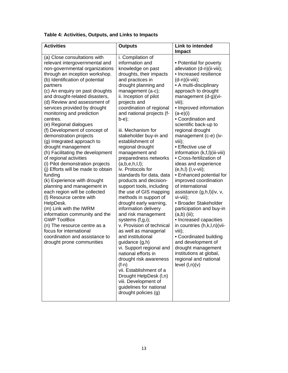| Table 4: Activities, Outputs, and Links to Impacts |  |  |  |  |  |
|----------------------------------------------------|--|--|--|--|--|
|----------------------------------------------------|--|--|--|--|--|

| <b>Activities</b>                                         | <b>Outputs</b>                                        | <b>Link to intended</b>                |
|-----------------------------------------------------------|-------------------------------------------------------|----------------------------------------|
|                                                           |                                                       | <b>Impact</b>                          |
| (a) Close consultations with                              | i. Compilation of                                     |                                        |
| relevant intergovernmental and                            | information and                                       | • Potential for poverty                |
| non-governmental organizations                            | knowledge on past                                     | alleviation (d-n)(ii-viii);            |
| through an inception workshop.                            | droughts, their impacts                               | • Increased resilience                 |
| (b) Identification of potential                           | and practices in                                      | $(d-n)(ii-viii);$                      |
| partners                                                  | drought planning and                                  | • A multi-disciplinary                 |
| (c) An enquiry on past droughts                           | management (a-c);                                     | approach to drought                    |
| and drought-related disasters,                            | ii. Inception of pilot                                | management (d-g)(vi-                   |
| (d) Review and assessment of                              | projects and                                          | viii);                                 |
| services provided by drought<br>monitoring and prediction | coordination of regional<br>and national projects (f- | • Improved information<br>$(a-e)(i)$   |
| centres.                                                  | b-e);                                                 | • Coordination and                     |
| (e) Regional dialogues                                    |                                                       | scientific back-up to                  |
| (f) Development of concept of                             | iii. Mechanism for                                    | regional drought                       |
| demonstration projects                                    | stakeholder buy-in and                                | management (c-e) (iv-                  |
| (g) Integrated approach to                                | establishment of                                      | viii);                                 |
| drought management                                        | regional drought                                      | • Effective use of                     |
| (h) Facilitating the development                          | management and                                        | information (k,f,l)(iii-viii)          |
| of regional activities                                    | preparedness networks                                 | • Cross-fertilization of               |
| (i) Pilot demonstration projects                          | $(a, b, e, h, l, l)$ ;                                | ideas and experience                   |
| (j) Efforts will be made to obtain                        | iv. Protocols for                                     | $(e, h, l)$ $(l, v-vii)$ ;             |
| funding                                                   | standards for data, data                              | • Enhanced potential for               |
| (k) Experience with drought                               | products and decision-                                | improved coordination                  |
| planning and management in                                | support tools, including                              | of international                       |
| each region will be collected<br>(I) Resource centre with | the use of GIS mapping<br>methods in support of       | assistance (g,h,l)(iv, v,<br>vi-viii); |
| HelpDesk.                                                 | drought early warning,                                | • Broader Stakeholder                  |
| (m) Link with the IWRM                                    | information delivery                                  | participation and buy-in               |
| information community and the                             | and risk management                                   | $(a,b)$ (iii);                         |
| <b>GWP ToolBox</b>                                        | systems (f,g,i);                                      | • Increased capacities                 |
| (n) The resource centre as a                              | v. Provision of technical                             | in countries (h,k,l,n)(vii-            |
| focus for international                                   | as well as managerial                                 | viii);                                 |
| coordination and assistance to                            | and institutional                                     | • Coordinated building                 |
| drought prone communities                                 | guidance (g,h)                                        | and development of                     |
|                                                           | vi. Support regional and                              | drought management                     |
|                                                           | national efforts in                                   | institutions at global,                |
|                                                           | drought risk awareness                                | regional and national                  |
|                                                           | $(f-n)$                                               | level (l,n)(v)                         |
|                                                           | vii. Establishment of a                               |                                        |
|                                                           | Drought HelpDesk (I,n)                                |                                        |
|                                                           | viii. Development of                                  |                                        |
|                                                           | guidelines for national                               |                                        |
|                                                           | drought policies (g)                                  |                                        |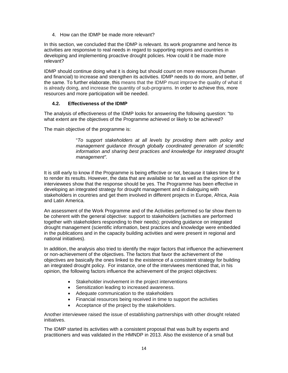4. How can the IDMP be made more relevant?

In this section, we concluded that the IDMP is relevant. Its work programme and hence its activities are responsive to real needs in regard to supporting regions and countries in developing and implementing proactive drought policies. How could it be made more relevant?

IDMP should continue doing what it is doing but should count on more resources (human and financial) to increase and strengthen its activities. IDMP needs to do more, and better, of the same. To further elaborate, this means that the IDMP must improve the quality of what it is already doing, and increase the quantity of sub-programs. In order to achieve this, more resources and more participation will be needed.

#### **4.2. Effectiveness of the IDMP**

The analysis of effectiveness of the IDMP looks for answering the following question: "to what extent are the objectives of the Programme achieved or likely to be achieved?

The main objective of the programme is:

"*To support stakeholders at all levels by providing them with policy and management guidance through globally coordinated generation of scientific information and sharing best practices and knowledge for integrated drought management".*

It is still early to know if the Programme is being effective or not, because it takes time for it to render its results. However, the data that are available so far as well as the opinion of the interviewees show that the response should be yes. The Programme has been effective in developing an integrated strategy for drought management and in dialoguing with stakeholders in countries and get them involved in different projects in Europe, Africa, Asia and Latin America.

An assessment of the Work Programme and of the Activities performed so far show them to be coherent with the general objective: support to stakeholders (activities are performed together with stakeholders responding to their needs); providing guidance on integrated drought management (scientific information, best practices and knowledge were embedded in the publications and in the capacity building activities and were present in regional and national initiatives).

In addition, the analysis also tried to identify the major factors that influence the achievement or non-achievement of the objectives. The factors that favor the achievement of the objectives are basically the ones linked to the existence of a consistent strategy for building an integrated drought policy. For instance, one of the interviwees mentioned that, in his opinion, the following factors influence the achievement of the project objectives:

- Stakeholder involvement in the project interventions
- Sensitization leading to increased awareness.
- Adequate communication to the stakeholders
- Financial resources being received in time to support the activities
- Acceptance of the project by the stakeholders.

Another interviewee raised the issue of establishing partnerships with other drought related initiatives.

The IDMP started its activities with a consistent proposal that was built by experts and practitioners and was validated in the HMNDP in 2013. Also the existence of a small but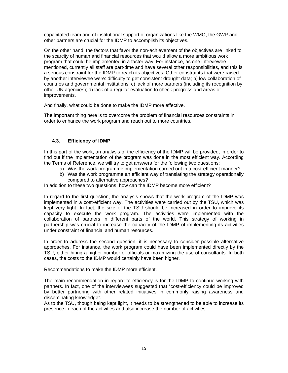capacitated team and of institutional support of organizations like the WMO, the GWP and other partners are crucial for the IDMP to accomplish its objectives.

On the other hand, the factors that favor the non-achievement of the objectives are linked to the scarcity of human and financial resources that would allow a more ambitious work program that could be implemented in a faster way. For instance, as one interviewee mentioned, currently all staff are part-time and have several other responsibilities, and this is a serious constraint for the IDMP to reach its objectives. Other constraints that were raised by another interviewee were: difficulty to get consistent drought data; b) low collaboration of countries and governmental institutions; c) lack of more partners (including its recognition by other UN agencies); d) lack of a regular evaluation to check progress and areas of improvements.

And finally, what could be done to make the IDMP more effective.

The important thing here is to overcome the problem of financial resources constraints in order to enhance the work program and reach out to more countries.

#### **4.3. Efficiency of IDMP**

In this part of the work, an analysis of the efficiency of the IDMP will be provided, in order to find out if the implementation of the program was done in the most efficient way. According the Terms of Reference, we will try to get answers for the following two questions:

- a) Was the work programme implementation carried out in a cost-efficient manner?
- b) Was the work programme an efficient way of translating the strategy operationally compared to alternative approaches?

In addition to these two questions, how can the IDMP become more efficient?

In regard to the first question, the analysis shows that the work program of the IDMP was implemented in a cost-efficient way. The activities were carried out by the TSU, which was kept very light. In fact, the size of the TSU should be increased in order to improve its capacity to execute the work program. The activities were implemented with the collaboration of partners in different parts of the world. This strategy of working in partnership was crucial to increase the capacity of the IDMP of implementing its activities under constraint of financial and human resources.

In order to address the second question, it is necessary to consider possible alternative approaches. For instance, the work program could have been implemented directly by the TSU, either hiring a higher number of officials or maximizing the use of consultants. In both cases, the costs to the IDMP would certainly have been higher.

Recommendations to make the IDMP more efficient.

The main recommendation in regard to efficiency is for the IDMP to continue working with partners. In fact, one of the interviewees suggested that "cost-efficiency could be improved by better partnering with other related initiatives in commonly raising awareness and disseminating knowledge".

As to the TSU, though being kept light, it needs to be strengthened to be able to increase its presence in each of the activities and also increase the number of activities.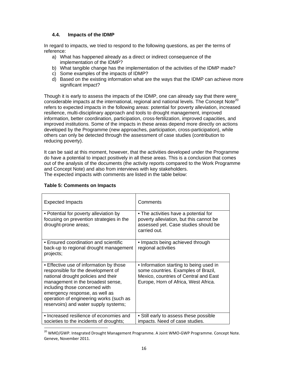#### **4.4. Impacts of the IDMP**

In regard to impacts, we tried to respond to the following questions, as per the terms of reference:

- a) What has happened already as a direct or indirect consequence of the implementation of the IDMP?
- b) What tangible change has the implementation of the activities of the IDMP made?
- c) Some examples of the impacts of IDMP?
- d) Based on the existing information what are the ways that the IDMP can achieve more significant impact?

Though it is early to assess the impacts of the IDMP, one can already say that there were considerable impacts at the international, regional and national levels. The Concept Note<sup>20</sup> refers to expected impacts in the following areas: potential for poverty alleviation, increased resilience, multi-disciplinary approach and tools to drought management, improved information, better coordination, participation, cross-fertilization, improved capacities, and improved institutions. Some of the impacts in these areas depend more directly on actions developed by the Programme (new approaches, participation, cross-participation), while others can only be detected through the assessment of case studies (contribution to reducing poverty).

It can be said at this moment, however, that the activities developed under the Programme do have a potential to impact positively in all these areas. This is a conclusion that comes out of the analysis of the documents (the activity reports compared to the Work Programme and Concept Note) and also from interviews with key stakeholders. The expected impacts with comments are listed in the table below:

| <b>Expected Impacts</b>                                                                                                                                                                                                                                                                                           | Comments                                                                                                                                                        |
|-------------------------------------------------------------------------------------------------------------------------------------------------------------------------------------------------------------------------------------------------------------------------------------------------------------------|-----------------------------------------------------------------------------------------------------------------------------------------------------------------|
| • Potential for poverty alleviation by<br>focusing on prevention strategies in the<br>drought-prone areas;                                                                                                                                                                                                        | • The activities have a potential for<br>poverty alleviation, but this cannot be<br>assessed yet. Case studies should be<br>carried out.                        |
| • Ensured coordination and scientific<br>back-up to regional drought management<br>projects;                                                                                                                                                                                                                      | • Impacts being achieved through<br>regional activities                                                                                                         |
| • Effective use of information by those<br>responsible for the development of<br>national drought policies and their<br>management in the broadest sense,<br>including those concerned with<br>emergency response, as well as<br>operation of engineering works (such as<br>reservoirs) and water supply systems; | • Information starting to being used in<br>some countries. Examples of Brazil,<br>Mexico, countries of Central and East<br>Europe, Horn of Africa, West Africa. |
| • Increased resilience of economies and<br>societies to the incidents of droughts;                                                                                                                                                                                                                                | • Still early to assess these possible<br>impacts. Need of case studies.                                                                                        |
|                                                                                                                                                                                                                                                                                                                   |                                                                                                                                                                 |

## **Table 5: Comments on Impacts**

<sup>&</sup>lt;sup>20</sup> WMO/GWP. Integrated Drought Management Programme. A Joint WMO-GWP Programme. Concept Note. Geneve, November 2011.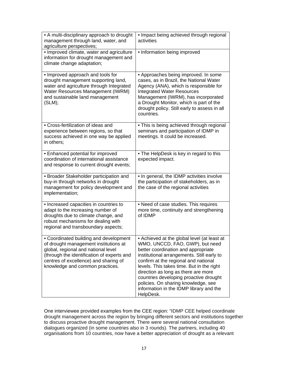| • A multi-disciplinary approach to drought<br>management through land, water, and<br>agriculture perspectives;                                                                                                                                   | • Impact being achieved through regional<br>activities                                                                                                                                                                                                                                                                                                                                                                                   |
|--------------------------------------------------------------------------------------------------------------------------------------------------------------------------------------------------------------------------------------------------|------------------------------------------------------------------------------------------------------------------------------------------------------------------------------------------------------------------------------------------------------------------------------------------------------------------------------------------------------------------------------------------------------------------------------------------|
| · Improved climate, water and agriculture<br>information for drought management and<br>climate change adaptation;                                                                                                                                | • Information being improved                                                                                                                                                                                                                                                                                                                                                                                                             |
| • Improved approach and tools for<br>drought management supporting land,<br>water and agriculture through Integrated<br>Water Resources Management (IWRM)<br>and sustainable land management<br>(SLM);                                           | • Approaches being improved. In some<br>cases, as in Brazil, the National Water<br>Agency (ANA), which is responsible for<br><b>Integrated Water Resources</b><br>Management (IWRM), has incorporated<br>a Drought Monitor, which is part of the<br>drought policy. Still early to assess in all<br>countries.                                                                                                                           |
| • Cross-fertilization of ideas and<br>experience between regions, so that<br>success achieved in one way be applied<br>in others;                                                                                                                | • This is being achieved through regional<br>seminars and participation of IDMP in<br>meetings. It could be increased.                                                                                                                                                                                                                                                                                                                   |
| • Enhanced potential for improved<br>coordination of international assistance<br>and response to current drought events;                                                                                                                         | • The HelpDesk is key in regard to this<br>expected impact.                                                                                                                                                                                                                                                                                                                                                                              |
| • Broader Stakeholder participation and<br>buy-in through networks in drought<br>management for policy development and<br>implementation;                                                                                                        | . In general, the IDMP activities involve<br>the participation of stakeholders, as in<br>the case of the regional activities                                                                                                                                                                                                                                                                                                             |
| • Increased capacities in countries to<br>adapt to the increasing number of<br>droughts due to climate change, and<br>robust mechanisms for dealing with<br>regional and transboundary aspects;                                                  | • Need of case studies. This requires<br>more time, continuity and strengthening<br>of IDMP                                                                                                                                                                                                                                                                                                                                              |
| • Coordinated building and development<br>of drought management institutions at<br>global, regional and national level<br>(through the identification of experts and<br>centres of excellence) and sharing of<br>knowledge and common practices. | • Achieved at the global level (at least at<br>WMO, UNCCD, FAO, GWP), but need<br>better coordination and appropriate<br>institutional arrangements. Still early to<br>confirm at the regional and national<br>levels. This takes time. But in the right<br>direction as long as there are more<br>countries developing proactive drought<br>policies. On sharing knowledge, see<br>information in the IDMP library and the<br>HelpDesk. |

One interviewee provided examples from the CEE region: "IDMP CEE helped coordinate drought management across the region by bringing different sectors and institutions together to discuss proactive drought management. There were several national consultation dialogues organized (in some countries also in 3 rounds). The partners, including 40 organisations from 10 countries, now have a better appreciation of drought as a relevant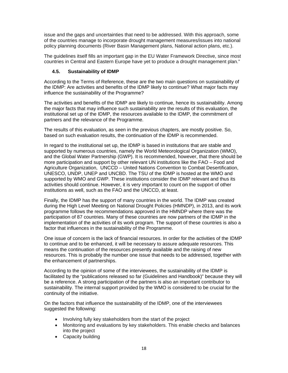issue and the gaps and uncertainties that need to be addressed. With this approach, some of the countries manage to incorporate drought management measures/issues into national policy planning documents (River Basin Management plans, National action plans, etc.).

The guidelines itself fills an important gap in the EU Water Framework Directive, since most countries in Central and Eastern Europe have yet to produce a drought management plan."

#### **4.5. Sustainability of IDMP**

According to the Terms of Reference, these are the two main questions on sustainability of the IDMP: Are activities and benefits of the IDMP likely to continue? What major facts may influence the sustainability of the Programme?

The activities and benefits of the IDMP are likely to continue, hence its sustainability. Among the major facts that may influence such sustainability are the results of this evaluation, the institutional set up of the IDMP, the resources available to the IDMP, the commitment of partners and the relevance of the Programme.

The results of this evaluation, as seen in the previous chapters, are mostly positive. So, based on such evaluation results, the continuation of the IDMP is recommended.

In regard to the institutional set up, the IDMP is based in institutions that are stable and supported by numerous countries, namely the World Meteorological Organization (WMO), and the Global Water Partnership (GWP). It is recommended, however, that there should be more participation and support by other relevant UN institutions like the FAO – Food and Agriculture Organization, UNCCD – United Nations Convention to Combat Desertification, UNESCO, UNDP, UNEP and UNCBD. The TSU of the IDMP is hosted at the WMO and supported by WMO and GWP. These institutions consider the IDMP relevant and thus its activities should continue. However, it is very important to count on the support of other institutions as well, such as the FAO and the UNCCD, at least.

Finally, the IDMP has the support of many countries in the world. The IDMP was created during the High Level Meeting on National Drought Policies (HMNDP), in 2013, and its work programme follows the recommendations approved in the HMNDP where there was the participation of 87 countries. Many of these countries are now partners of the IDMP in the implementation of the activities of its work program. The support of these countries is also a factor that influences in the sustainability of the Programme.

One issue of concern is the lack of financial resources. In order for the activities of the IDMP to continue and to be enhanced, it will be necessary to assure adequate resources. This means the continuation of the resources presently available and the raising of new resources. This is probably the number one issue that needs to be addressed, together with the enhancement of partnerships.

According to the opinion of some of the interviewees, the sustainability of the IDMP is facilitated by the "publications released so far (Guidelines and Handbook)" because they will be a reference. A strong participation of the partners is also an important contributor to sustainability. The internal support provided by the WMO is considered to be crucial for the continuity of the initiative.

On the factors that influence the sustainability of the IDMP, one of the interviewees suggested the following:

- Involving fully key stakeholders from the start of the project
- Monitoring and evaluations by key stakeholders. This enable checks and balances into the project
- Capacity building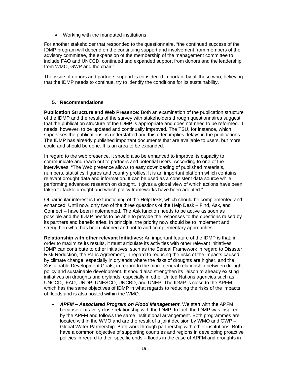Working with the mandated institutions

For another stakeholder that responded to the questionnaire, "the continued success of the IDMP program will depend on the continuing support and involvement from members of the advisory committee, the expansion of the membership of the management committee to include FAO and UNCCD, continued and expanded support from donors and the leadership from WMO, GWP and the chair."

The issue of donors and partners support is considered important by all those who, believing that the IDMP needs to continue, try to identify the conditions for its sustainability.

#### **5. Recommendations**

**Publication Structure and Web Presence:** Both an examination of the publication structure of the IDMP and the results of the survey with stakeholders through questionnaires suggest that the publication structure of the IDMP is appropriate and does not need to be reformed. It needs, however, to be updated and continually improved. The TSU, for instance, which supervises the publications, is understaffed and this often implies delays in the publications. The IDMP has already published important documents that are available to users, but more could and should be done. It is an area to be expanded.

In regard to the web presence, it should also be enhanced to improve its capacity to communicate and reach out to partners and potential users. According to one of the interviwees, "The Web presence allows to easy downloading of published materials, numbers, statistics, figures and country profiles. It is an important platform which contains relevant drought data and information. It can be used as a consistent data source while performing advanced research on drought. It gives a global view of which actions have been taken to tackle drought and which policy frameworks have been adopted."

Of particular interest is the functioning of the HelpDesk, which should be complemented and enhanced. Until now, only two of the three questions of the Help Desk – Find, Ask, and Connect -- have been implemented. The Ask function needs to be active as soon as possible and the IDMP needs to be able to provide the responses to the questions raised by its partners and beneficiaries. In principle, the priority now should be to implement and strengthen what has been planned and not to add complementary approaches.

**Relationship with other relevant Initiatives:** An important feature of the IDMP is that, in order to maximize its results, it must articulate its activities with other relevant initiatives. IDMP can contribute to other initiatives, such as the Sendai Framework in regard to Disaster Risk Reduction, the Paris Agreement, in regard to reducing the risks of the impacts caused by climate change, especially in drylands where the risks of droughts are higher, and the Sustainable Development Goals, in regard to the more general relationship between drought policy and sustainable development. It should also strengthen its liaison to already existing initiatives on droughts and drylands, especially in other United Nations agencies such as UNCCD, FAO, UNDP, UNESCO, UNCBD, and UNEP. The IDMP is close to the APFM, which has the same objectives of IDMP in what regards to reducing the risks of the impacts of floods and is also hosted within the WMO.

 *APFM – Associated Program on Flood Management*. We start with the APFM because of its very close relationship with the IDMP. In fact, the IDMP was inspired by the APFM and follows the same institutional arrangement. Both programmes are located within the WMO and are the result of a joint decision by WMO and GWP – Global Water Partnership. Both work through partnership with other institutions. Both have a common objective of supporting countries and regions in developing proactive policies in regard to their specific ends – floods in the case of APFM and droughts in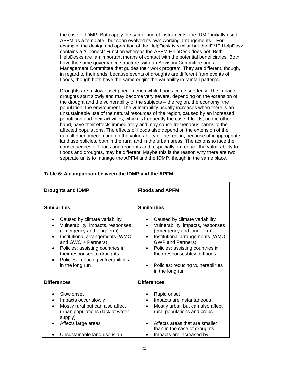the case of IDMP. Both apply the same kind of instruments: the IDMP initially used APFM as a template , but soon evolved its own working arrangements. For example, the design and operation of the HelpDesk is similar but the IDMP HelpDesk contains a "Coonect" Function whereas the APFM HelpDesk does not. Both HelpDesks are an important means of contact with the potential beneficiaries. Both have the same governance structure, with an Advisory Committee and a Management Committee that guides their work program. They are different, though, in regard to their ends, because events of droughts are different from events of floods, though both have the same origin: the variability in rainfall patterns.

Droughts are a slow onset phenomenon while floods come suddenly. The impacts of droughts start slowly and may become very severe, depending on the extension of the drought and the vulnerability of the subjects – the region, the economy, the population, the environment. The vulnerability usually increases when there is an unsustainable use of the natural resources of the region, caused by an increased population and their activities, which is frequently the case. Floods, on the other hand, have their effects immediately and may cause tremendous harms to the affected populations. The effects of floods also depend on the extension of the rainfall phenomenon and on the vulnerability of the region, because of inappropriate land use policies, both in the rural and in the urban areas. The actions to face the consequences of floods and droughts and, especially, to reduce the vulnerability to floods and droughts, may be different. Maybe this is the reason why there are two separate units to manage the APFM and the IDMP, though in the same place.

| <b>Droughts and IDMP</b>                                                                                                                                                                                                                                                                           | <b>Floods and APFM</b>                                                                                                                                                                                                                                                                                     |  |  |  |  |
|----------------------------------------------------------------------------------------------------------------------------------------------------------------------------------------------------------------------------------------------------------------------------------------------------|------------------------------------------------------------------------------------------------------------------------------------------------------------------------------------------------------------------------------------------------------------------------------------------------------------|--|--|--|--|
| <b>Similarities</b>                                                                                                                                                                                                                                                                                | <b>Similarities</b>                                                                                                                                                                                                                                                                                        |  |  |  |  |
| Caused by climate variability<br>Vulnerability, impacts, responses<br>(emergency and long-term)<br>Institutional arrangements (WMO<br>and GWO + Partners)<br>Policies: assisting countries in<br>$\bullet$<br>their responses to droughts<br>Policies: reducing vulnerabilities<br>in the long run | Caused by climate variability<br>Vulnerability, impacts, responses<br>(emergency and long-term)<br>Institutional arrangements (WMO,<br><b>GWP and Partners)</b><br>Policies: assisting countries in<br>$\bullet$<br>their responsesbfcv to floods<br>Policies: reducing vulnerabilities<br>in the long run |  |  |  |  |
| <b>Differences</b>                                                                                                                                                                                                                                                                                 | <b>Differences</b>                                                                                                                                                                                                                                                                                         |  |  |  |  |
| Slow onset<br>Impacts occur slowly<br>Mostly rural but can also affect<br>urban populations (lack of water<br>supply)<br>Affects large areas<br>Unsustainable land use is an                                                                                                                       | Rapid onset<br>Impacts are instantaneous<br>Mostly urban but can also affect<br>rural populations and crops<br>Affects areas that are smaller<br>than in the case of droughts                                                                                                                              |  |  |  |  |
|                                                                                                                                                                                                                                                                                                    | Impacts are increased by                                                                                                                                                                                                                                                                                   |  |  |  |  |

#### **Table 6: A comparison between the IDMP and the APFM**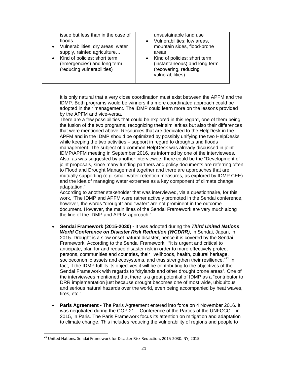| issue but less than in the case of  | unsustainable land use        |
|-------------------------------------|-------------------------------|
| floods                              | Vulnerabilities: low areas,   |
| • Vulnerabilities: dry areas, water | mountain sides, flood-prone   |
| supply, rainfed agriculture         | areas                         |
| Kind of policies: short term        | Kind of policies: short term  |
| $\bullet$                           | (instantaneous) and long term |
| (emergencies) and long term         | (recovering, reducing         |
| (reducing vulnerabilities)          | vulnerabilities)              |

It is only natural that a very close coordination must exist between the APFM and the IDMP. Both programs would be winners if a more coordinated approach could be adopted in their management. The IDMP could learn more on the lessons provided by the APFM and vice-versa.

There are a few possibilities that could be explored in this regard, one of them being the fusion of the two programs, recognizing their similarities but also their differences that were mentioned above. Resources that are dedicated to the HelpDesk in the APFM and in the IDMP should be optimized by possibly unifying the two HelpDesks while keeping the two activities – support in regard to droughts and floods management. The subject of a common HelpDesk was already discussed in joint IDMP/APFM meeting in September 2016, as informed by one of the interviewees. Also, as was suggested by another interviewee, there could be the "Development of joint proposals, since many funding partners and policy documents are referring often to Flood and Drought Management together and there are approaches that are mutually supporting (e.g. small water retention measures, as explored by IDMP CEE) and the idea of managing water extremes as a key component of climate change adaptation."

According to another stakeholder that was interviewed, via a questionnaire, for this work, "The IDMP and APFM were rather actively promoted in the Sendai conference, however, the words "drought" and "water" are not prominent in the outcome document. However, the main lines of the Sendai Framework are very much along the line of the IDMP and APFM approach."

- **Sendai Framework (2015-2030) -** It was adopted during the *Third United Nations World Conference on Disaster Risk Reduction (WCDRR)*, in Sendai, Japan, in 2015. Drought is a slow onset natural disaster, hence it is covered by the Sendai Framework. According to the Sendai Framework, "It is urgent and critical to anticipate, plan for and reduce disaster risk in order to more effectively protect persons, communities and countries, their livelihoods, health, cultural heritage, socioeconomic assets and ecosystems, and thus strengthen their resilience."<sup>21</sup> In fact, if the IDMP fulfills its objectives it will be contributing to the objectives of the Sendai Framework with regards to "drylands and other drought prone areas". One of the interviewees mentioned that there is a great potential of IDMP as a "contributor to DRR implementation just because drought becomes one of most wide, ubiquitous and serious natural hazards over the world, even being accompanied by heat waves, fires, etc."
- **Paris Agreement -** The Paris Agreement entered into force on 4 November 2016. It was negotiated during the COP 21 – Conference of the Parties of the UNFCCC – in 2015, in Paris. The Paris Framework focus its attention on mitigation and adaptation to climate change. This includes reducing the vulnerability of regions and people to

<sup>&</sup>lt;sup>21</sup> United Nations. Sendai Framework for Disaster Risk Reduction, 2015-2030. NY, 2015.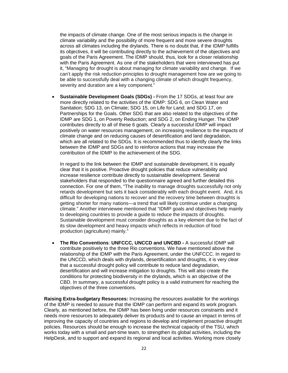the impacts of climate change. One of the most serious impacts is the change in climate variability and the possibility of more frequent and more severe droughts across all climates including the drylands. There is no doubt that, if the IDMP fulfills its objectives, it will be contributing directly to the achievement of the objectives and goals of the Paris Agreement. The IDMP should, thus, look for a closer relationship with the Paris Agreement. As one of the stakeholders that were interviewed has put it, "Managing for drought is about managing for climate variability and change. If we can't apply the risk reduction principles to drought management how are we going to be able to successfully deal with a changing climate of which drought frequency, severity and duration are a key component."

 **Sustainable Development Goals (SDGs) -** From the 17 SDGs, at least four are more directly related to the activities of the IDMP: SDG 6, on Clean Water and Sanitation; SDG 13, on Climate; SDG 15, on Life for Land; and SDG 17, on Partnerships for the Goals. Other SDG that are also related to the objectives of the IDMP are SDG 1, on Poverty Reduction; and SDG 2, on Ending Hunger. The IDMP contributes directly to all of these 6 goals. Clearly a successful IDMP will impact positively on water resources management, on increasing resilience to the impacts of climate change and on reducing causes of desertification and land degradation, which are all related to the SDGs. It is recommended thus to identify clearly the links between the IDMP and SDGs and to reinforce actions that may increase the contribution of the IDMP to the achievement of the SDG.

In regard to the link between the IDMP and sustainable development, it is equally clear that it is positive. Proactive drought policies that reduce vulnerability and increase resilience contribute directly to sustainable development. Several stakeholders that responded to the questionnaire agreed and further detailed this connection. For one of them, "The inability to manage droughts successfully not only retards development but sets it back considerably with each drought event. And, it is difficult for developing nations to recover and the recovery time between droughts is getting shorter for many nations—a trend that will likely continue under a changing climate." Another interviewee mentioned that "IDMP goals and objectives help mainly to developing countries to provide a guide to reduce the impacts of droughts. Sustainable development must consider droughts as a key element due to the fact of its slow development and heavy impacts which reflects in reduction of food production (agriculture) mainly."

 **The Rio Conventions**: **UNFCCC, UNCCD and UNCBD -** A successful IDMP will contribute positively to the three Rio conventions. We have mentioned above the relationship of the IDMP with the Paris Agreement, under the UNFCCC. In regard to the UNCCD, which deals with drylands, desertification and droughts, it is very clear that a successful drought policy will contribute to reduce land degradation, desertification and will increase mitigation to droughts. This will also create the conditions for protecting biodiversity in the drylands, which is an objective of the CBD. In summary, a successful drought policy is a valid instrument for reaching the objectives of the three conventions.

**Raising Extra-budgetary Resources:** Increasing the resources available for the workings of the IDMP is needed to assure that the IDMP can perform and expand its work program. Clearly, as mentioned before, the IDMP has been living under resources constraints and it needs more resources to adequately deliver its products and to cause an impact in terms of improving the capacity of countries and regions to develop and implement proactive drought policies. Resources should be enough to increase the technical capacity of the TSU, which works today with a small and part-time team, to strengthen its global activities, including the HelpDesk, and to support and expand its regional and local activities. Working more closely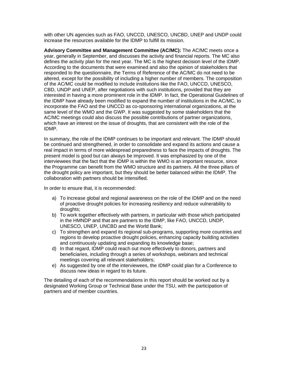with other UN agencies such as FAO, UNCCD, UNESCO, UNCBD, UNEP and UNDP could increase the resources available for the IDMP to fulfill its mission.

**Advisory Committee and Management Committee (AC/MC):** The AC/MC meets once a year, generally in September, and discusses the activity and financial reports. The MC also defines the activity plan for the next year. The MC is the highest decision level of the IDMP. According to the documents that were examined and also the opinion of stakeholders that responded to the questionnaire, the Terms of Reference of the AC/MC do not need to be altered, except for the possibility of including a higher number of members. The composition of the AC/MC could be modified to include institutions like the FAO, UNCCD, UNESCO, CBD, UNDP and UNEP, after negotiations with such institutions, provided that they are interested in having a more prominent role in the IDMP. In fact, the Operational Guidelines of the IDMP have already been modified to expand the number of institutions in the AC/MC, to incorporate the FAO and the UNCCD as co-sponsoring international organizations, at the same level of the WMO and the GWP. It was suggested by some stakeholders that the AC/MC meetings could also discuss the possible contributions of partner organizations, which have an interest on the issue of droughts, that are consistent with the role of the IDMP.

In summary, the role of the IDMP continues to be important and relevant. The IDMP should be continued and strengthened, in order to consolidate and expand its actions and cause a real impact in terms of more widespread preparedness to face the impacts of droughts. The present model is good but can always be improved. It was emphasized by one of the interviewees that the fact that the IDMP is within the WMO is an important resource, since the Programme can benefit from the WMO structure and its partners. All the three pillars of the drought policy are important, but they should be better balanced within the IDMP. The collaboration with partners should be intensified.

In order to ensure that, it is recommended:

- a) To increase global and regional awareness on the role of the IDMP and on the need of proactive drought policies for increasing resiliency and reduce vulnerability to droughts;
- b) To work together effectively with partners, in particular with those which participated in the HMNDP and that are partners to the IDMP, like FAO, UNCCD, UNDP, UNESCO, UNEP, UNCBD and the World Bank;
- c) To strengthen and expand its regional sub-programs, supporting more countries and regions to develop proactive drought policies, enhancing capacity building activities and continuously updating and expanding its knowledge base;
- d) In that regard, IDMP could reach out more effectively to donors, partners and beneficiaries, including through a series of workshops, webinars and technical meetings covering all relevant stakeholders;
- e) As suggested by one of the interviewees, the IDMP could plan for a Conference to discuss new ideas in regard to its future.

The detailing of each of the recommendations in this report should be worked out by a designated Working Group or Technical Base under the TSU, with the participation of partners and of member countries.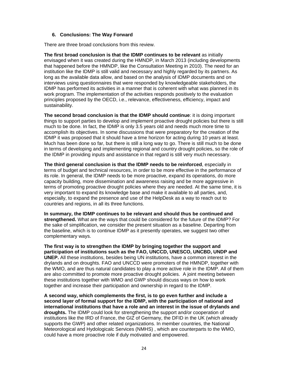#### **6. Conclusions: The Way Forward**

There are three broad conclusions from this review.

**The first broad conclusion is that the IDMP continues to be relevant** as initially envisaged when it was created during the HMNDP, in March 2013 (including developments that happened before the HMNDP, like the Consultation Meeting in 2010). The need for an institution like the IDMP is still valid and necessary and highly regarded by its partners. As long as the available data allow, and based on the analysis of IDMP documents and on interviews using questionnaires that were responded by knowledgeable stakeholders, the IDMP has performed its activities in a manner that is coherent with what was planned in its work program. The implementation of the activities responds positively to the evaluation principles proposed by the OECD, i.e., relevance, effectiveness, efficiency, impact and sustainability.

**The second broad conclusion is that the IDMP should continue**: it is doing important things to support parties to develop and implement proactive drought policies but there is still much to be done. In fact, the IDMP is only 3.5 years old and needs much more time to accomplish its objectives. In some discussions that were preparatory for the creation of the IDMP it was proposed that it should have a time horizon for acting during 10 years at least. Much has been done so far, but there is still a long way to go. There is still much to be done in terms of developing and implementing regional and country drought policies, so the role of the IDMP in providing inputs and assistance in that regard is still very much necessary.

**The third general conclusion is that the IDMP needs to be reinforced**, especially in terms of budget and technical resources, in order to be more effective in the performance of its role. In general, the IDMP needs to be more proactive, expand its operations, do more capacity building, more dissemination and awareness raising and be more aggressive in terms of promoting proactive drought policies where they are needed. At the same time, it is very important to expand its knowledge base and make it available to all parties, and, especially, to expand the presence and use of the HelpDesk as a way to reach out to countries and regions, in all its three functions.

**In summary, the IDMP continues to be relevant and should thus be continued and strengthened.** What are the ways that could be considered for the future of the IDMP? For the sake of simplification, we consider the present situation as a baseline. Departing from the baseline, which is to continue IDMP as it presently operates, we suggest two other complementary ways.

**The first way is to strengthen the IDMP by bringing together the support and participation of institutions such as the FAO, UNCCD, UNESCO, UNCBD, UNDP and UNEP.** All these institutions, besides being UN institutions, have a common interest in the drylands and on droughts. FAO and UNCCD were promoters of the HMNDP, together with the WMO, and are thus natural candidates to play a more active role in the IDMP. All of them are also committed to promote more proactive drought policies. A joint meeting between these institutions together with WMO and GWP should discuss ways on how to work together and increase their participation and ownership in regard to the IDMP.

**A second way, which complements the first, is to go even further and include a second layer of formal support for the IDMP, with the participation of national and international institutions that have a role and an interest in the issue of drylands and droughts.** The IDMP could look for strengthening the support and/or cooperation of institutions like the IRD of France, the GIZ of Germany, the DFID in the UK (which already supports the GWP) and other related organizations. In member countries, the National Meteorological and Hydologicalc Services (NMHS) , which are counterparts to the WMO, could have a more proactive role if duly motivated and empowered.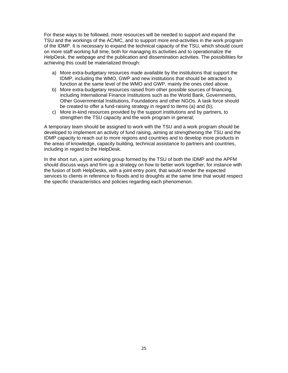For these ways to be followed, more resources will be needed to support and expand the TSU and the workings of the AC/MC, and to support more end-activities in the work program of the IDMP. It is necessary to expand the technical capacity of the TSU, which should count on more staff working full time, both for managing its activities and to operationalize the HelpDesk, the webpage and the publication and dissemination activities. The possibilities for achieving this could be materialized through:

- a) More extra-budgetary resources made available by the institutions that support the IDMP, including the WMO, GWP and new institutions that should be attracted to function at the same level of the WMO and GWP, mainly the ones cited above.
- b) More extra-budgetary resources raised from other possible sources of financing, including International Finance Institutions such as the World Bank, Governments, Other Governmental Institutions, Foundations and other NGOs. A task force should be created to offer a fund-raising strategy in regard to items (a) and (b);
- c) More in-kind resources provided by the support institutions and by partners, to strengthen the TSU capacity and the work program in general;

A temporary team should be assigned to work with the TSU and a work program should be developed to implement an activity of fund raising, aiming at strengthening the TSU and the IDMP capacity to reach out to more regions and countries and to develop more products in the areas of knowledge, capacity building, technical assistance to partners and countries, including in regard to the HelpDesk.

In the short run, a joint working group formed by the TSU of both the IDMP and the APFM should discuss ways and firm up a strategy on how to better work together, for instance with the fusion of both HelpDesks, with a joint entry point, that would render the expected services to clients in reference to floods and to droughts at the same time that would respect the specific characteristics and policies regarding each phenomenon.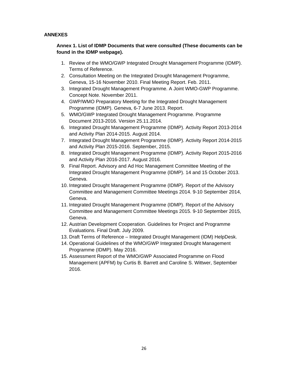#### **ANNEXES**

## **Annex 1. List of IDMP Documents that were consulted (These documents can be found in the IDMP webpage).**

- 1. Review of the WMO/GWP Integrated Drought Management Programme (IDMP). Terms of Reference.
- 2. Consultation Meeting on the Integrated Drought Management Programme, Geneva, 15-16 November 2010. Final Meeting Report. Feb. 2011.
- 3. Integrated Drought Management Programme. A Joint WMO-GWP Programme. Concept Note. November 2011.
- 4. GWP/WMO Preparatory Meeting for the Integrated Drought Management Programme (IDMP). Geneva, 6-7 June 2013. Report.
- 5. WMO/GWP Integrated Drought Management Programme. Programme Document 2013-2016. Version 25.11.2014.
- 6. Integrated Drought Management Programme (IDMP). Activity Report 2013-2014 and Activity Plan 2014-2015. August 2014.
- 7. Integrated Drought Management Programme (IDMP). Activity Report 2014-2015 and Activity Plan 2015-2016. September, 2015.
- 8. Integrated Drought Management Programme (IDMP). Activity Report 2015-2016 and Activity Plan 2016-2017. August 2016.
- 9. Final Report. Advisory and Ad Hoc Management Committee Meeting of the Integrated Drought Management Programme (IDMP). 14 and 15 October 2013. Geneva.
- 10. Integrated Drought Management Programme (IDMP). Report of the Advisory Committee and Management Committee Meetings 2014. 9-10 September 2014, Geneva.
- 11. Integrated Drought Management Programme (IDMP). Report of the Advisory Committee and Management Committee Meetings 2015. 9-10 September 2015, Geneva.
- 12. Austrian Development Cooperation. Guidelines for Project and Programme Evaluations. Final Draft. July 2009.
- 13. Draft Terms of Reference Integrated Drought Management (IDM) HelpDesk.
- 14. Operational Guidelines of the WMO/GWP Integrated Drought Management Programme (IDMP). May 2016.
- 15. Assessment Report of the WMO/GWP Associated Programme on Flood Management (APFM) by Curtis B. Barrett and Caroline S. Wittwer, September 2016.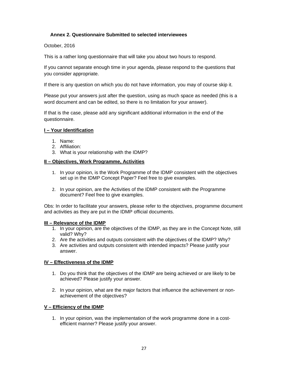#### **Annex 2. Questionnaire Submitted to selected interviewees**

October, 2016

This is a rather long questionnaire that will take you about two hours to respond.

If you cannot separate enough time in your agenda, please respond to the questions that you consider appropriate.

If there is any question on which you do not have information, you may of course skip it.

Please put your answers just after the question, using as much space as needed (this is a word document and can be edited, so there is no limitation for your answer).

If that is the case, please add any significant additional information in the end of the questionnaire.

#### **I – Your Identification**

- 1. Name:
- 2. Affiliation:
- 3. What is your relationship with the IDMP?

#### **II – Objectives, Work Programme, Activities**

- 1. In your opinion, is the Work Programme of the IDMP consistent with the objectives set up in the IDMP Concept Paper? Feel free to give examples.
- 2. In your opinion, are the Activities of the IDMP consistent with the Programme document? Feel free to give examples.

Obs: In order to facilitate your answers, please refer to the objectives, programme document and activities as they are put in the IDMP official documents.

#### **III – Relevance of the IDMP**

- 1. In your opinion, are the objectives of the IDMP, as they are in the Concept Note, still valid? Why?
- 2. Are the activities and outputs consistent with the objectives of the IDMP? Why?
- 3. Are activities and outputs consistent with intended impacts? Please justify your answer.

#### **IV – Effectiveness of the IDMP**

- 1. Do you think that the objectives of the IDMP are being achieved or are likely to be achieved? Please justify your answer.
- 2. In your opinion, what are the major factors that influence the achievement or nonachievement of the objectives?

#### **V – Efficiency of the IDMP**

1. In your opinion, was the implementation of the work programme done in a costefficient manner? Please justify your answer.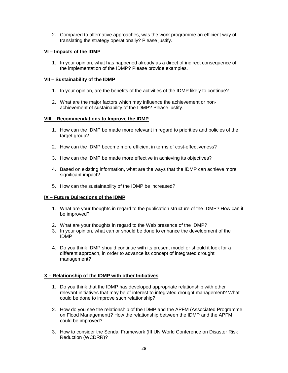2. Compared to alternative approaches, was the work programme an efficient way of translating the strategy operationally? Please justify.

#### **VI – Impacts of the IDMP**

1. In your opinion, what has happened already as a direct of indirect consequence of the implementation of the IDMP? Please provide examples.

#### **VII – Sustainability of the IDMP**

- 1. In your opinion, are the benefits of the activities of the IDMP likely to continue?
- 2. What are the major factors which may influence the achievement or nonachievement of sustainability of the IDMP? Please justify.

#### **VIII – Recommendations to Improve the IDMP**

- 1. How can the IDMP be made more relevant in regard to priorities and policies of the target group?
- 2. How can the IDMP become more efficient in terms of cost-effectiveness?
- 3. How can the IDMP be made more effective in achieving its objectives?
- 4. Based on existing information, what are the ways that the IDMP can achieve more significant impact?
- 5. How can the sustainability of the IDMP be increased?

#### **IX – Future Duirections of the IDMP**

- 1. What are your thoughts in regard to the publication structure of the IDMP? How can it be improved?
- 2. What are your thoughts in regard to the Web presence of the IDMP?
- 3. In your opinion, what can or should be done to enhance the development of the IDMP
- 4. Do you think IDMP should continue with its present model or should it look for a different approach, in order to advance its concept of integrated drought management?

#### **X – Relationship of the IDMP with other Initiatives**

- 1. Do you think that the IDMP has developed appropriate relationship with other relevant initiatives that may be of interest to integrated drought management? What could be done to improve such relationship?
- 2. How do you see the relationship of the IDMP and the APFM (Associated Programme on Flood Management)? How the relationship between the IDMP and the APFM could be improved?
- 3. How to consider the Sendai Framework (III UN World Conference on Disaster Risk Reduction (WCDRR)?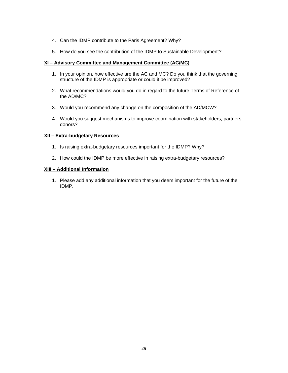- 4. Can the IDMP contribute to the Paris Agreement? Why?
- 5. How do you see the contribution of the IDMP to Sustainable Development?

#### **XI – Advisory Committee and Management Committee (AC/MC)**

- 1. In your opinion, how effective are the AC and MC? Do you think that the governing structure of the IDMP is appropriate or could it be improved?
- 2. What recommendations would you do in regard to the future Terms of Reference of the AD/MC?
- 3. Would you recommend any change on the composition of the AD/MCW?
- 4. Would you suggest mechanisms to improve coordination with stakeholders, partners, donors?

#### **XII – Extra-budgetary Resources**

- 1. Is raising extra-budgetary resources important for the IDMP? Why?
- 2. How could the IDMP be more effective in raising extra-budgetary resources?

#### **XIII – Additional Information**

1. Please add any additional information that you deem important for the future of the IDMP.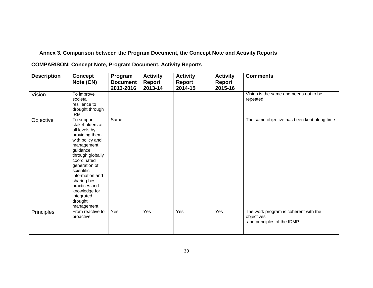## **Annex 3. Comparison between the Program Document, the Concept Note and Activity Reports**

**COMPARISON: Concept Note, Program Document, Activity Reports** 

| <b>Description</b> | <b>Concept</b><br>Note (CN)                                                                                                                                                                                                                                                                 | Program<br><b>Document</b><br>2013-2016 | <b>Activity</b><br><b>Report</b><br>2013-14 | <b>Activity</b><br><b>Report</b><br>2014-15 | <b>Activity</b><br><b>Report</b><br>2015-16 | <b>Comments</b>                                                                   |
|--------------------|---------------------------------------------------------------------------------------------------------------------------------------------------------------------------------------------------------------------------------------------------------------------------------------------|-----------------------------------------|---------------------------------------------|---------------------------------------------|---------------------------------------------|-----------------------------------------------------------------------------------|
| Vision             | To improve<br>societal<br>resilience to<br>drought through<br><b>IRM</b>                                                                                                                                                                                                                    |                                         |                                             |                                             |                                             | Vision is the same and needs not to be<br>repeated                                |
| Objective          | To support<br>stakeholders at<br>all levels by<br>providing them<br>with policy and<br>management<br>guidance<br>through globally<br>coordinated<br>generation of<br>scientific<br>information and<br>sharing best<br>practices and<br>knowledge for<br>integrated<br>drought<br>management | Same                                    |                                             |                                             |                                             | The same objective has been kept along time                                       |
| Principles         | From reactive to<br>proactive                                                                                                                                                                                                                                                               | Yes                                     | Yes                                         | Yes                                         | Yes                                         | The work program is coherent with the<br>objectives<br>and principles of the IDMP |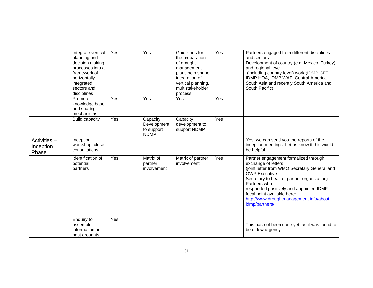|                                    | Integrate vertical<br>planning and<br>decision making<br>processes into a<br>framework of<br>horizontally<br>integrated<br>sectors and<br>disciplines | Yes | Yes                                                  | Guidelines for<br>the preparation<br>of drought<br>management<br>plans help shape<br>integration of<br>vertical planning,<br>multistakeholder<br>process | Yes | Partners engaged from different disciplines<br>and sectors.<br>Development of country (e.g. Mexico, Turkey)<br>and regional level<br>(including country-level) work (IDMP CEE,<br>IDMP HOA, IDMP WAF, Central America,<br>South Asia and recently South America and<br>South Pacific)                                                        |
|------------------------------------|-------------------------------------------------------------------------------------------------------------------------------------------------------|-----|------------------------------------------------------|----------------------------------------------------------------------------------------------------------------------------------------------------------|-----|----------------------------------------------------------------------------------------------------------------------------------------------------------------------------------------------------------------------------------------------------------------------------------------------------------------------------------------------|
|                                    | Promote<br>knowledge base<br>and sharing<br>mechanisms                                                                                                | Yes | Yes                                                  | Yes                                                                                                                                                      | Yes |                                                                                                                                                                                                                                                                                                                                              |
|                                    | <b>Build capacity</b>                                                                                                                                 | Yes | Capacity<br>Development<br>to support<br><b>NDMP</b> | Capacity<br>development to<br>support NDMP                                                                                                               | Yes |                                                                                                                                                                                                                                                                                                                                              |
| Activities -<br>Inception<br>Phase | Inception<br>workshop, close<br>consultations                                                                                                         |     |                                                      |                                                                                                                                                          |     | Yes, we can send you the reports of the<br>inception meetings. Let us know if this would<br>be helpful.                                                                                                                                                                                                                                      |
|                                    | Identification of<br>potential<br>partners                                                                                                            | Yes | Matrix of<br>partner<br>involvement                  | Matrix of partner<br>involvement                                                                                                                         | Yes | Partner engagement formalized through<br>exchange of letters<br>(joint letter from WMO Secretary General and<br><b>GWP Executive</b><br>Secretary to head of partner organization).<br>Partners who<br>responded positively and appointed IDMP<br>focal point available here:<br>http://www.droughtmanagement.info/about-<br>idmp/partners/. |
|                                    | Enquiry to<br>assemble<br>information on<br>past droughts                                                                                             | Yes |                                                      |                                                                                                                                                          |     | This has not been done yet, as it was found to<br>be of low urgency.                                                                                                                                                                                                                                                                         |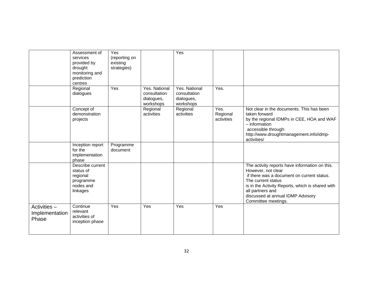|                                         | Assessment of<br>services<br>provided by<br>drought<br>monitoring and<br>prediction<br>centres | Yes<br>(reporting on<br>existing<br>strategies) |                                                          | Yes                                                      |                                |                                                                                                                                                                                                                                                                              |
|-----------------------------------------|------------------------------------------------------------------------------------------------|-------------------------------------------------|----------------------------------------------------------|----------------------------------------------------------|--------------------------------|------------------------------------------------------------------------------------------------------------------------------------------------------------------------------------------------------------------------------------------------------------------------------|
|                                         | Regional<br>dialogues                                                                          | Yes                                             | Yes. National<br>consultation<br>dialogues,<br>workshops | Yes. National<br>consultation<br>dialogues,<br>workshops | Yes.                           |                                                                                                                                                                                                                                                                              |
|                                         | Concept of<br>demonstration<br>projects                                                        |                                                 | Regional<br>activities                                   | Regional<br>activities                                   | Yes.<br>Regional<br>activities | Not clear in the documents. This has been<br>taken forward<br>by the regional IDMPs in CEE, HOA and WAF<br>- information<br>accessible through:<br>http://www.droughtmanagement.info/idmp-<br>activities/                                                                    |
|                                         | Inception report<br>for the<br>implementation<br>phase                                         | Programme<br>document                           |                                                          |                                                          |                                |                                                                                                                                                                                                                                                                              |
|                                         | Describe current<br>status of<br>regional<br>programme<br>nodes and<br>linkages                |                                                 |                                                          |                                                          |                                | The activity reports have information on this.<br>However, not clear<br>if there was a document on current status.<br>The current status<br>is in the Activity Reports, which is shared with<br>all partners and<br>discussed at annual IDMP Advisory<br>Committee meetings. |
| Activities -<br>Implementation<br>Phase | Continue<br>relevant<br>activities of<br>inception phase                                       | Yes                                             | Yes                                                      | Yes                                                      | Yes                            |                                                                                                                                                                                                                                                                              |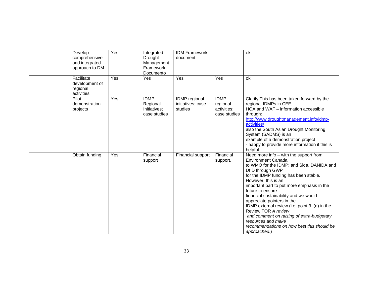| Develop<br>comprehensive<br>and integrated<br>approach to DM | Yes | Integrated<br>Drought<br>Management<br>Framework<br>Documento | <b>IDM Framework</b><br>document              |                                                        | ok                                                                                                                                                                                                                                                                                                                                                                                                                                                                                                                                                      |
|--------------------------------------------------------------|-----|---------------------------------------------------------------|-----------------------------------------------|--------------------------------------------------------|---------------------------------------------------------------------------------------------------------------------------------------------------------------------------------------------------------------------------------------------------------------------------------------------------------------------------------------------------------------------------------------------------------------------------------------------------------------------------------------------------------------------------------------------------------|
| Facilitate<br>development of<br>regional<br>activities       | Yes | Yes                                                           | Yes                                           | Yes                                                    | ok                                                                                                                                                                                                                                                                                                                                                                                                                                                                                                                                                      |
| Pilot<br>demonstration<br>projects                           | Yes | <b>IDMP</b><br>Regional<br>Initiatives;<br>case studies       | IDMP regional<br>initiatives; case<br>studies | <b>IDMP</b><br>regional<br>activities;<br>case studies | Clarify This has been taken forward by the<br>regional IDMPs in CEE,<br>HOA and WAF - information accessible<br>through:<br>http://www.droughtmanagement.info/idmp-<br>activities/<br>also the South Asian Drought Monitoring<br>System (SADMS) is an<br>example of a demonstration project<br>- happy to provide more information if this is<br>helpful.                                                                                                                                                                                               |
| Obtain funding                                               | Yes | Financial<br>support                                          | Financial support                             | Financial<br>support.                                  | Need more info - with the support from<br><b>Environment Canada</b><br>to WMO for the IDMP; and Sida, DANIDA and<br>DfID through GWP<br>for the IDMP funding has been stable.<br>However, this is an<br>important part to put more emphasis in the<br>future to ensure<br>financial sustainability and we would<br>appreciate pointers in the<br>IDMP external review (i.e. point 3. (d) in the<br>Review TOR A review<br>and comment on raising of extra-budgetary<br>resources and make<br>recommendations on how best this should be<br>approached.) |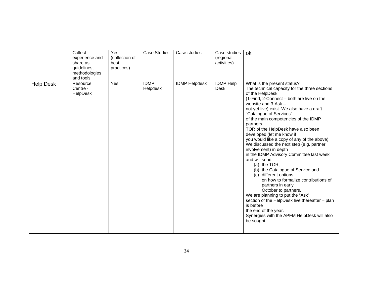|                  | Collect<br>experience and<br>share as<br>guidelines,<br>methodologies<br>and tools | Yes<br>(collection of<br>best<br>practices) | <b>Case Studies</b>     | Case studies         | Case studies<br>(regional<br>activities) | ok                                                                                                                                                                                                                                                                                                                                                                                                                                                                                                                                                                                                                                                                                                                                                                                                                                                                                                                 |
|------------------|------------------------------------------------------------------------------------|---------------------------------------------|-------------------------|----------------------|------------------------------------------|--------------------------------------------------------------------------------------------------------------------------------------------------------------------------------------------------------------------------------------------------------------------------------------------------------------------------------------------------------------------------------------------------------------------------------------------------------------------------------------------------------------------------------------------------------------------------------------------------------------------------------------------------------------------------------------------------------------------------------------------------------------------------------------------------------------------------------------------------------------------------------------------------------------------|
| <b>Help Desk</b> | Resource<br>Centre -<br>HelpDesk                                                   | Yes                                         | <b>IDMP</b><br>Helpdesk | <b>IDMP Helpdesk</b> | <b>IDMP</b> Help<br><b>Desk</b>          | What is the present status?<br>The technical capacity for the three sections<br>of the HelpDesk<br>(1-Find, 2-Connect – both are live on the<br>website and $3-Ask -$<br>not yet live) exist. We also have a draft<br>"Catalogue of Services"<br>of the main competencies of the IDMP<br>partners.<br>TOR of the HelpDesk have also been<br>developed (let me know if<br>you would like a copy of any of the above).<br>We discussed the next step (e.g. partner<br>involvement) in depth<br>in the IDMP Advisory Committee last week<br>and will send<br>(a) the $TOR$ ,<br>(b) the Catalogue of Service and<br>(c) different options<br>on how to formalize contributions of<br>partners in early<br>October to partners.<br>We are planning to put the "Ask"<br>section of the HelpDesk live thereafter - plan<br>is before<br>the end of the year.<br>Synergies with the APFM HelpDesk will also<br>be sought. |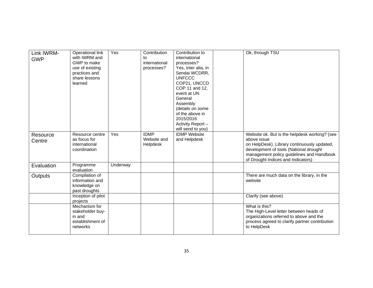| Link IWRM-<br><b>GWP</b> | Operational link<br>with IWRM and<br>GWP to make<br>use of existing<br>practices and<br>share lessons<br>learned | Yes      | Contribution<br>t٥<br>international<br>processes? | Contribution to<br>international<br>processes?<br>Yes, inter alia, in<br>Sendai WCDRR,<br><b>UNFCCC</b><br>COP21, UNCCD<br>COP 11 and 12,<br>event at UN<br>General<br>Assembly<br>(details on some<br>of the above in<br>2015/2016<br>Activity Report-<br>will send to you) | Ok, through TSU                                                                                                                                                                                                                          |
|--------------------------|------------------------------------------------------------------------------------------------------------------|----------|---------------------------------------------------|------------------------------------------------------------------------------------------------------------------------------------------------------------------------------------------------------------------------------------------------------------------------------|------------------------------------------------------------------------------------------------------------------------------------------------------------------------------------------------------------------------------------------|
| Resource<br>Centre       | Resource centre<br>as focus for<br>international<br>coordination                                                 | Yes      | <b>IDMP</b><br>Website and<br>Helpdesk            | <b>IDMP</b> Website<br>and Helpdesk                                                                                                                                                                                                                                          | Website ok. But is the helpdesk working? (see<br>above issue<br>on HelpDesk). Library continuously updated,<br>development of tools (National drought<br>management policy guidelines and Handbook<br>of Drought Indices and Indicators) |
| Evaluation               | Programme<br>evaluation                                                                                          | Underway |                                                   |                                                                                                                                                                                                                                                                              |                                                                                                                                                                                                                                          |
| Outputs                  | Compilation of<br>information and<br>knowledge on<br>past droughts                                               |          |                                                   |                                                                                                                                                                                                                                                                              | There are much data on the library, in the<br>website                                                                                                                                                                                    |
|                          | Inception of pilot<br>projects                                                                                   |          |                                                   |                                                                                                                                                                                                                                                                              | Clarify (see above)                                                                                                                                                                                                                      |
|                          | Mechanism for<br>stakeholder buy-<br>in and<br>establishment of<br>networks                                      |          |                                                   |                                                                                                                                                                                                                                                                              | What is this?<br>The High-Level letter between heads of<br>organizations referred to above and the<br>process agreed to clarify partner contribution<br>to HelpDesk                                                                      |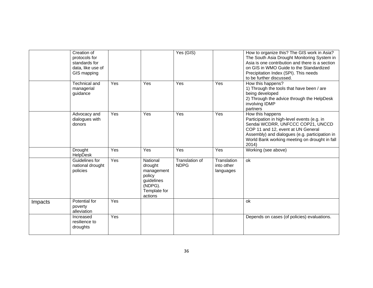|         | Creation of<br>protocols for<br>standards for<br>data, like use of<br>GIS mapping |     |                                                                                                 | Yes (GIS)                     |                                        | How to organize this? The GIS work in Asia?<br>The South Asia Drought Monitoring System in<br>Asia is one contribution and there is a section<br>on GIS in WMO Guide to the Standardized<br>Precipitation Index (SPI). This needs<br>to be further discussed. |
|---------|-----------------------------------------------------------------------------------|-----|-------------------------------------------------------------------------------------------------|-------------------------------|----------------------------------------|---------------------------------------------------------------------------------------------------------------------------------------------------------------------------------------------------------------------------------------------------------------|
|         | Technical and<br>managerial<br>guidance                                           | Yes | Yes                                                                                             | Yes                           | Yes                                    | How this happens?<br>1) Through the tools that have been / are<br>being developed<br>2) Through the advice through the HelpDesk<br>involving IDMP<br>partners                                                                                                 |
|         | Advocacy and<br>dialogues with<br>donors                                          | Yes | Yes                                                                                             | Yes                           | Yes                                    | How this happens<br>Participation in high-level events (e.g. in<br>Sendai WCDRR, UNFCCC COP21, UNCCD<br>COP 11 and 12, event at UN General<br>Assembly) and dialogues (e.g. participation in<br>World Bank working meeting on drought in fall<br>2014)        |
|         | Drought<br>HelpDesk                                                               | Yes | Yes                                                                                             | Yes                           | Yes                                    | Working (see above)                                                                                                                                                                                                                                           |
|         | Guidelines for<br>national drought<br>policies                                    | Yes | National<br>drought<br>management<br>policy<br>guidelines<br>(NDPG).<br>Template for<br>actions | Translation of<br><b>NDPG</b> | Translation<br>into other<br>languages | ok                                                                                                                                                                                                                                                            |
| Impacts | Potential for<br>poverty<br>alleviation                                           | Yes |                                                                                                 |                               |                                        | ok                                                                                                                                                                                                                                                            |
|         | Increased<br>resilience to<br>droughts                                            | Yes |                                                                                                 |                               |                                        | Depends on cases (of policies) evaluations.                                                                                                                                                                                                                   |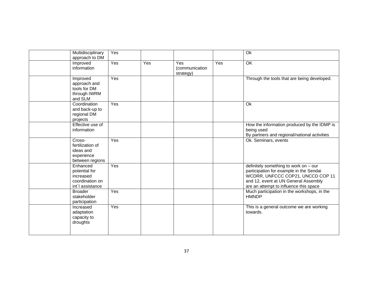| Multidisciplinary<br>approach to DM                                           | Yes |     |                                    |     | Ok                                                                                                                                                                                                      |
|-------------------------------------------------------------------------------|-----|-----|------------------------------------|-----|---------------------------------------------------------------------------------------------------------------------------------------------------------------------------------------------------------|
| Improved<br>information                                                       | Yes | Yes | Yes<br>(communication<br>strategy) | Yes | OK                                                                                                                                                                                                      |
| Improved<br>approach and<br>tools for DM<br>through IWRM<br>and SLM           | Yes |     |                                    |     | Through the tools that are being developed.                                                                                                                                                             |
| Coordination<br>and back-up to<br>regional DM<br>projects                     | Yes |     |                                    |     | Ok                                                                                                                                                                                                      |
| Effective use of<br>information                                               |     |     |                                    |     | How the information produced by the IDMP is<br>being used<br>By partners and regional/national activities                                                                                               |
| Cross-<br>fertilization of<br>ideas and<br>experience<br>between regions      | Yes |     |                                    |     | Ok. Seminars, events                                                                                                                                                                                    |
| Enhanced<br>potential for<br>increased<br>coordination on<br>int'l assistance | Yes |     |                                    |     | definitely something to work on - our<br>participation for example in the Sendai<br>WCDRR, UNFCCC COP21, UNCCD COP 11<br>and 12, event at UN General Assembly<br>are an attempt to influence this space |
| <b>Broader</b><br>stakeholder<br>participation                                | Yes |     |                                    |     | Much participation in the workshops, in the<br><b>HMNDP</b>                                                                                                                                             |
| Increased<br>adaptation<br>capacity to<br>droughts                            | Yes |     |                                    |     | This is a general outcome we are working<br>towards.                                                                                                                                                    |